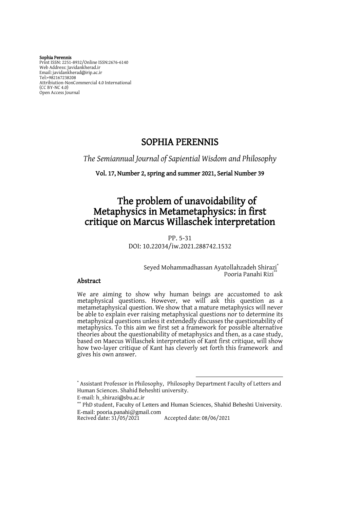Sophia Perennis Print ISSN: 2251-8932/Online ISSN:2676-6140 Web Address: Javidankherad.ir Email[: javidankherad@irip.ac.ir](mailto:javidankherad@irip.ac.ir) [Tel:+982167238208](tel:+982167238208) Attribiution-NonCommercial 4.0 International (CC BY-NC 4.0) Open Access Journal

# SOPHIA PERENNIS

*The Semiannual Journal of Sapiential Wisdom and Philosophy*

Vol. 17, Number 2, spring and summer 2021, Serial Number 39

# The problem of unavoidability of Metaphysics in Metametaphysics: in first critique on Marcus Willaschek interpretation

PP. 5-31 DOI: 10.22034/iw.2021.288742.1532

> Seyed Mohammadhassan Ayatollahzadeh Shirazi\* Pooria Panahi Rizi<sup>\*</sup>

### Abstract

We are aiming to show why human beings are accustomed to ask metaphysical questions. However, we will ask this question as a metametaphysical question. We show that a mature metaphysics will never be able to explain ever raising metaphysical questions nor to determine its metaphysical questions unless it extendedly discusses the questionability of metaphysics. To this aim we first set a framework for possible alternative theories about the questionability of metaphysics and then, as a case study, based on Maecus Willaschek interpretation of Kant first critique, will show how two-layer critique of Kant has cleverly set forth this framework and gives his own answer.

 $\overline{a}$ 

<sup>\*</sup> Assistant Professor in Philosophy,Philosophy Department Faculty of Letters and Human Sciences. Shahid Beheshti university.

E-mail[:](mailto:h_shirazi@sbu.ac.ir) [h\\_shirazi@sbu.ac.ir](mailto:h_shirazi@sbu.ac.ir)

<sup>\*\*</sup> PhD student, Faculty of Letters and Human Sciences, Shahid Beheshti University. E-mail: [pooria.panahi@gmail.com](mailto:pooria.panahi@gmail.com)

Accepted date: 08/06/2021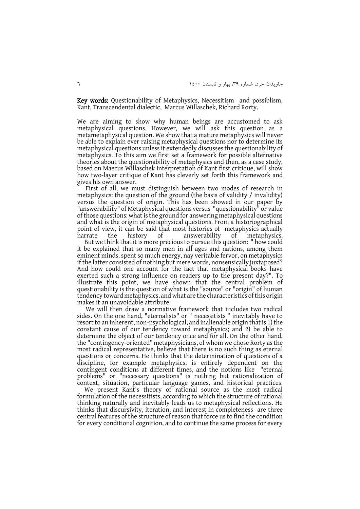Key words: Questionability of Metaphysics, Necessitism and possiblism, Kant, Transcendental dialectic, Marcus Willaschek, Richard Rorty.

We are aiming to show why human beings are accustomed to ask metaphysical questions. However, we will ask this question as a metametaphysical question. We show that a mature metaphysics will never be able to explain ever raising metaphysical questions nor to determine its metaphysical questions unless it extendedly discusses the questionability of metaphysics. To this aim we first set a framework for possible alternative theories about the questionability of metaphysics and then, as a case study, based on Maecus Willaschek interpretation of Kant first critique, will show how two-layer critique of Kant has cleverly set forth this framework and gives his own answer.

First of all, we must distinguish between two modes of research in metaphysics: the question of the ground (the basis of validity / invalidity) versus the question of origin. This has been showed in our paper by "answerability" of Metaphysical questions versus "questionability" or value of those questions: what is the ground for answering metaphysical questions and what is the origin of metaphysical questions. From a historiographical point of view, it can be said that most histories of metaphysics actually narrate the history of answerability of metaphysics.

 But we think that it is more precious to pursue this question: " how could it be explained that so many men in all ages and nations, among them eminent minds, spent so much energy, nay veritable fervor, on metaphysics if the latter consisted of nothing but mere words, nonsensically juxtaposed? And how could one account for the fact that metaphysical books have exerted such a strong influence on readers up to the present day?". To illustrate this point, we have shown that the central problem of questionability is the question of what is the "source" or "origin" of human tendency toward metaphysics, and what are the characteristics of this origin makes it an unavoidable attribute.

We will then draw a normative framework that includes two radical sides. On the one hand, "eternalists" or " necessitists " inevitably have to resort to an inherent, non-psychological, and inalienable origin that is 1) the constant cause of our tendency toward metaphysics; and 2) be able to determine the object of our tendency once and for all. On the other hand, the "contingency-oriented" metaphysicians, of whom we chose Rorty as the most radical representative, believe that there is no such thing as eternal questions or concerns. He thinks that the determination of questions of a discipline, for example metaphysics, is entirely dependent on the contingent conditions at different times, and the notions like "eternal problems" or "necessary questions" is nothing but rationalization of context, situation, particular language games, and historical practices.

 We present Kant's theory of rational source as the most radical formulation of the necessitists, according to which the structure of rational thinking naturally and inevitably leads us to metaphysical reflections. He thinks that discursivity, iteration, and interest in completeness are three central features of the structure of reason that force us to find the condition for every conditional cognition, and to continue the same process for every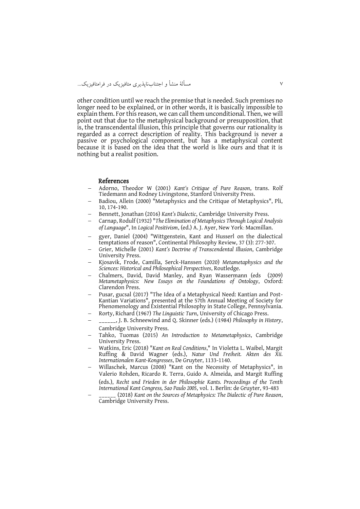other condition until we reach the premise that is needed. Such premises no longer need to be explained, or in other words, it is basically impossible to explain them. For this reason, we can call them unconditional. Then, we will point out that due to the metaphysical background or presupposition, that is, the transcendental illusion, this principle that governs our rationality is regarded as a correct description of reality. This background is never a passive or psychological component, but has a metaphysical content because it is based on the idea that the world is like ours and that it is nothing but a realist position.

#### References

- Adorno, Theodor W (2001) *Kant's Critique of Pure Reason*, trans. Rolf Tiedemann and Rodney Livingstone, Stanford University Press.
- Badiou, Allein (2000) "Metaphysics and the Critique of Metaphysics", Pli, 10, 174-190.
- Bennett, Jonathan (2016) *Kant's Dialectic*, Cambridge University Press.
- Carnap, Rodulf (1932) "*The Elimination of Metaphysics Through Logical Analysis of Language*", In *Logical Positivism*, (ed.) A. J. Ayer, New York: Macmillan.
- gyer, Daniel (2004) "Wittgenstein, Kant and Husserl on the dialectical temptations of reason", Continental Philosophy Review, 37 (3): 277-307.
- Grier, Michelle (2001) *Kant's Doctrine of Transcendental Illusion*, Cambridge University Press.
- Kjosavik, Frode, Camilla, Serck-Hanssen (2020) *Metametaphysics and the Sciences: Historical and Philosophical Perspectives*, Routledge.
- Chalmers, David, David Manley, and Ryan Wassermann (eds(2009) *Metametaphysics: New Essays on the Foundations of Ontology*, Oxford: Clarendon Press.
- Pusar, gucsal (2017) "The Idea of a Metaphysical Need: Kantian and Post-Kantian Variations", presented at the 57th Annual Meeting of Society for Phenomenology and Existential Philosophy in State College, Pennsylvania.
- Rorty, Richard (1967) *The Linguistic Turn*, University of Chicago Press.
- \_\_\_\_\_\_, J. B. Schneewind and Q. Skinner (eds.) (ا1984 (*Philosophy in History*, Cambridge University Press.
- Tahko, Tuomas (2015) *An Introduction to Metametaphysics*, Cambridge University Press.
- Watkins, Eric (2018) "*Kant on Real Conditions*," In Violetta L. Waibel, Margit Ruffing & David Wagner (eds.), *Natur Und Freiheit. Akten des Xii. Internationalen Kant-Kongresses*, De Gruyter, 1133-1140.
- Willaschek, Marcus (2008) "Kant on the Necessity of Metaphysics", in Valerio Rohden, Ricardo R. Terra, Guido A. Almeida, and Margit Ruffing (eds.), *Recht und Frieden in der Philosophie Kants. Proceedings of the Tenth International Kant Congress, Sao Paulo 2005*, vol. 1. Berlin: de Gruyter, 93-483
- \_\_\_\_\_\_ (2018) *Kant on the Sources of Metaphysics: The Dialectic of Pure Reason*, Cambridge University Press.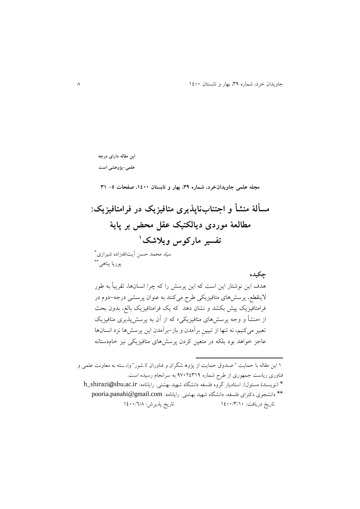**این مقاله دارای درجه علمی-پژوهشی است**

**مجله علمی جاویدانخرد، شماره ،93 بهار و تابستان ،0011 صفحات -5 90**

**مسألة منشأ و اجتنابناپذیری متافیزیک در فرامتافیزیک: مطالعة موردی دیالکتیک عقل محض بر پایة 0 تفسیر مارکوس ویالشک**

\* سیّد محمد حسن آيتاهللزاده شیرازی پوريا پناه<sub>ی</sub>\*\*

**چکیده**

هدف اين نوشتار اين است که اين پرسش را که چرا انسانها، تقريباً به طور الينقطع، پرسشهای متافیزيکی طرح میکنند به عنوان پرسشی درجه-دوم در فرامتافیزيک پیش بکشد و نشان دهد که يک فرامتافیزيک بالغ، بدون بحث از »منشأ و وجه پرسشهای متافیزيکی« که از آن به پرسشپذيری متافیزيک تعبیر میکنیم، نه تنها از تبیینِ برآمدن و باز-برآمدنِ اين پرسشها نزد انسانها عاجز خواهد بود بلکه در متعین کردن پرسشهای متافیزيکی نیز خامدستانه

 0 اين مقاله با حمايت " صندوق حمايت از پژوه شگران و فناوران ک شور " واب سته به معاونت علمی و فناوری رياست جمهوری از طرح شماره 37140903 به سرانجام رسیده است.  $^*$  (نويسندهٔ مسئول). استاديار گروه فلسفه دانشگاه شهيد بهشتی. رايانامه: h\_shirazi@sbu.ac.ir \*\* دانشجوی دکترای فلسفه، دانشگاه شهید بهشتی. رايانامه: [com.gmail@panahi.pooria](mailto:pooria.panahi@gmail.com) تاريخ دريافت: 0011/9/01 تاريخ پذيرش: 0011/6/8

 $\overline{\phantom{a}}$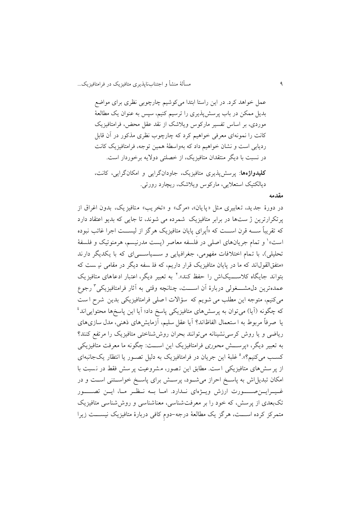3 مسألة منشأ و اجتنابناپذيری متافیزيک در فرامتافیزيک...

عمل خواهد کرد. در اين راستا ابتدا میکوشیم چارچوبی نظری برای مواضع بديل ممکن در باب پرسشپذيری را ترسیم کنیم، سپس به عنوان يک مطالعة موردی، بر اساس تفسیر مارکوس ويالشک از نقد عقل محض، فرامتافیزيک کانت را نمونهای معرفی خواهیم کرد که چارچوب نظری مذکور در آن قابل رديابی است و نشان خواهیم داد که بهواسطة همین توجه، فرامتافیزيک کانت در نسبت با ديگر منتقدان متافیزيک، از خصلتی دواليه برخوردار است.

**کلیدواژهها**: پرسشپذيری متافیزيک، جاودانگرايی و امکانگرايی، کانت، ديالکتیک استعاليی، مارکوس ويالشک، ريچارد رورتی.

### **مقدمه**

در دورهٔ جديد، تعابيري مثل «پايان»، «مرگ» و «تخريب» متافيزيک، بدون اغراق از پرتکرارترين ژ ست ها در برابر متافیزيک شمرده می شوند، تا جايی که بديو اعتقاد دار د که تقريباً ســــه قرن اســـت که «اُپرای پايان متافيزيک هرگز از ليســـت اجرا غائب نبوده ّست» و تمام جریانهای اصلی در فلسفه معاصر (پست مدرنیسم، هرمنوتیک و فلسفهٔ تحلیلی)، با تمام اختلافات مفهومی، جغرافیایی و سـویاسـویای که با یکدیگر دارند »متفقالقولاند که ما در پايان متافیزيک قرار داريم، که فل سفه ديگر در مقامی نی ست که بتواند جایگاه کلاســـیکاش را حفظ کند».<sup>۲</sup> به تعبیر دیگر، اعتبار ادعاهای متافیزیک عمدهترين دل⁄مشــــغولى دربارهٔ آن اســــت، چنانچه وقتی به آثار فرامتافیزیکی ٔ رجوع میکنیم، متوجه اين مطلب می شويم که س ؤاالت ا صلی فرامتافیزيکی بدين شرح ا ست که چگونه (آيا) میتوان به پرسشهای متافیزيکی پاسخ داد؛ آيا اين پاسخها محتوايی|ند<sup>،</sup> يا صر فاً مربوط به ا ستعمال الفاظ اند؟ آيا عقل سلیم، آزمايش های ذهنی، مدل سازی های رياضی و يا روش کرسینشینانه میتوانند بحران روششناختی متافیزيک را مرتفع کنند؟ به تعبیر ديگر، «پرســـش *محوری* فرامتافیزيک اين اســـت: چگونه ما معرفت متافیزيکی کسب میکنیم؟».° غلبهٔ این جریان در فرامتافیزیک به دلیل تصـور یا انتظار یکجانبهای از پر سشهای متافیزیکی است. مطابق این تصور، مشروعیت پر سش فقط در نسبت با امکان تبديل اش به پاسخ احراز می شود، پرسش برای پاسخ خواستنی است و در غهرايسن صهورت ارزش ويه وای ندارد. امها به نظر مها، ايس تصهور تکبعدی از پرسش، که خود را بر معرفت شناسی، معناشناسی و روش شناسی متافیزیک متمرکز کرده اســـت، هرگز يک مطالعهٔ درجه-دومِ کافی دربارهٔ متافیزیک نیســـت زیرا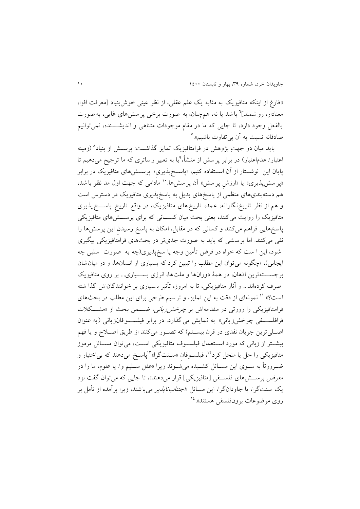»فارغ از اينکه متافیزيک به مثابه يک علم عقلی، از نظر عینی خوش بنیاد ]معرفت افزا، معنادار، رو شمند]<sup>٦</sup> با شد یا نه، همچنان، به صورت برخی پر سشهای غایی، به صورت بالفعل وجود دارد، تا جايی که ما در مقام موجودات متناهی و انديشهههنده، نمی توانیم صادقانه نسبت به آن بی<sup>تفاوت</sup> باشیم».<sup>۷</sup>

بايد ميان دو جهتِ پژوهش در فرامتافيزيک تمايز گذاشــت: پرســش از بنياد^ (زمينه عتبار/ عدماعتبار) در برابر پرسش از منشأ،<sup>۹</sup>یا به تعبیر رساتری که ما ترجیح می**د**هیم تا پايان اين نوشــتار از آن اســتفاده کنیم، «پاســخپذيری» پرســش۵ای متافيزيک در برابر «پر سشپذیری» یا «ارزش پر سش» أن پر سشها.`` مادامی که جهت اول مد نظر با شد، هم دسته بندیهای منظمی از پاسخ های بديل به پاسخ پذيری متافیزيک در دسترس است و هم از نظر تاريخ نگارانه، عمد، تاريخ های متافيزيک، در واقع تاريخ پاســـخ پذيری متافیزیک را روایت میکنند، يعنی بحث میان کســـانی که برای پرســـشْ(های متافیزیکی پاسخ هايی فراهم میکنند و کسانی که در مقابل، امکان به پاسخ رسیدنِ اين پرسش ها را نفی میکنند. اما پرسشی که بايد به صورت جدی تر در بحثهای فرامتافیزيکی پیگیری شود، اين ا ست که خواه در فرض تأمین وجه پا سخ پذيری)چه به صورت سلبی چه ايجابی)، «چگونه می توان اين مطلب را تبيين کرد که بسياری از انسانها، و در ميان شان برجســـتهترين اذهان، در همهٔ دورانها و ملتها، انرژی بســـياری... بر روی متافيزيک صرف کردهاند... و آثار متافیزیکی، تا به امروز، تأثیر بـسیاری بر خوانندگاناش گذا شته ٔ ست؟». '' نمونهای از دقت به این تمایز، و ترسیم طرحی برای این مطلب در بحثهای فرامتافیزیکی را رورتی در مقدمهاش بر چرخ*ش زبانی، ضــــمن ب*حث از «مشـــکلات فرافلسه ی چرخش زبانی» به نمایش می گذارد. در برابر فیلسهوفانزبانی (به عنوان اصلی ترين جريان نقدی در قرن بيسـتم) که تصـور میکنند از طريق اصـلاح و يا فهم بیشتر از زبانی که مورد استعمال فیلسوف متافیزیکی است، می توان مسائل مرموز متافیزیکی را حل یا منحل کرد<sup>۱۲</sup>، فیلسـوفانِ «سـنتگرا»<sup>۲</sup>پاسـخ می۵هند که بی|ختیار و ضهرورتاً به سهوی اين مسها ل کشهیده میشهوند زيرا »عقل سهلیم و/ يا علوم، ما را در معرض پرسشهای فلسهی [متافیزیکی] قرار میدهند»، تا جایی که میتوان گفت نزد يک سنت گرا، يا جاودانگرا، اين مسا ل »اجتنابناپذير میباشند، زيرا برآمده از تأمل بر روی موضوعات برونفلسفی هستند».<sup>۱٤</sup>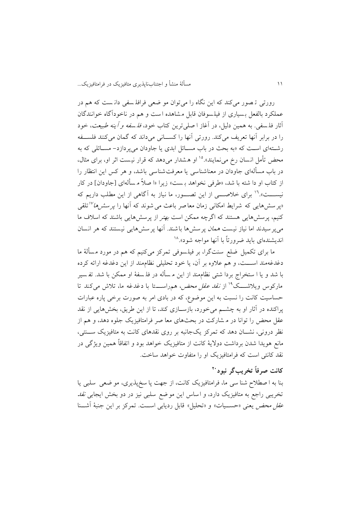رورتی ت صور میکند که اين نگاه را میتوان مو ضعی فرافل سفی دان ست که هم در عملکرد بالفعل بسیاری از فیلسوفان قابل مشاهده است و هم در ناخودآگاه خوانندگان آثار فل سفی. به همین دلیل، در آغاز ا صلی ترين کتاب خود، فل سفه و آينه طبیعت ، خود را در برابر آنها تعریف میکند. رورتی آنها را کســانی میداند که گمان میکنند فلســفه رشتهای است که «به بحث در باب مسـائل ابدی یا جاودان میپردازد- مسـائلی که به محض تأمل انسان رخ می نمایند».<sup>۱۰</sup> او هشدار می دهد که قرار نیست اثر او، برای مثال، در باب مس ألهای جاودان در معناشناسی يا معرفتشناسی باشد، و هر کس اين انتظار را از کتاب او دا شته با شد، «طرفی نخواهد بـ ست» زیرا «ا صلاً مـ سألهای [جاودان] در کار نيســـت».<sup>۱٦</sup> برای خلاصــــي از اين تصــــور، ما نياز به آگاهي از اين مطلب داريم که <sub>ا</sub>پر سشهایی که شرایط امکانی زمان معاصر باعث می شوند که آنها را *پر سشها<sup>۱۷</sup>*تلقی کنیم، پرسش هايی هستند که اگرچه ممکن است بهتر از پرسشهايی باشند که اسالف ما میپر سیدند اما نیاز نیست *همان* پرسش ها باشند. آنها پرسش هایی نیستند که هر انسان نديشندهای بايد ضرورتاً با آنها مواجه شود».<sup>۱۸</sup>

ما برای تکمیل ضلع سنتگرا، بر فیلسوفی تمرکز میکنیم که هم در مورد مسألهٔ ما دغدغهمند اســـت، و هم علاوه بر آن، يا خود تحليلی نظاممند از اين دغدغه ارائه کرده با شد و يا ا ستخراج بردا شتی نظاممند از اين م سأله در فلـ سفهٔ او ممکن با شد. تفـ سير مارکوس ويلاشـــک<sup>۱۹</sup> از *نقد عقل محض، ه*مراســـتا با دغدغه ما، تلاش میکند تا حساسیت کانت را نسبت به اين موضوع، که در بادی امر به صورت برخی پاره عبارات پراکنده در آثار او به چشــم میخورد، بازســازی کند، تا از اين طريق، بخشهايی از نقد عقل محض را توانا در م شارکت در بحث های معا صر فرامتافیزيک جلوه دهد، و هم از نظر درونی، نشسان دهد که تمرکز يکجانبه بر روی نقدهای کانت به متافيزيک سسنتی، مانع هويدا شدن برداشت دولايهٔ کانت از متافيزيک خواهد بود و اتفاقاً همین ويژگی در نقد کانتی است که فرامتافیزيک او را متفاوت خواهد ساخت.

# **<sup>21</sup> کانت صرفاً تخریبگر نبود**

بنا به ا صطالح شنا سی ما، فرامتافیزيک کانت، از جهت پا سخ پذيری، مو ضعی سلبی يا تخريبی راجع به متافیزيک دارد، و اساس اين موضع سلبی نیز در دو بخش ايجابی نقد عقل محض يعنی «حسـيات» و «تحليل» قابل رديابی اسـت. تمرکز بر اين جنبهٔ آشــنا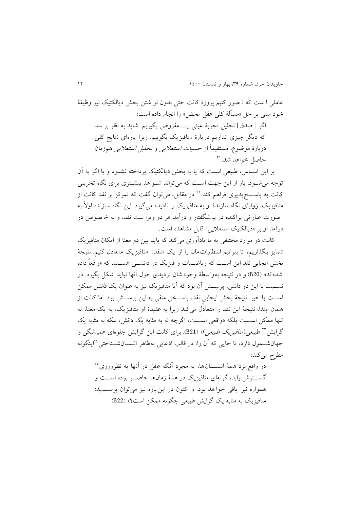عاملی ا ست که ترصور کنیم پروژهٔ کانت حتی بدون نو شتن بخش دیالکتیک نیز وظیفهٔ خود مبنی بر حل »مسألة کلی عقل محض« را انجام داده است: اگر [ صدق] تحلیل تجربهٔ عینی را... مفروض بگیریم شاید به نظر بر سد که ديگر چيزی نداريم دربارهٔ متافيزيک بگوييم. زيرا پارهای نتايج کلی دربارة موضوع، مستقیماً از حسیات استعاليی و تحلیل استعاليی همزمان 40 حاصل خواهد شد.

بر اين اســاس، طبيعی اســت که يا به بخش ديالکتيک پرداخته نشــود و يا اگر به آن توجه می شود، باز از اين جهت است که می تواند شـواهد بیشـتری برای نگاه تخريبی کانت به پاســـخپذيری فراهم کند.<sup>۲۲</sup> در مقابل، میتوان گفت که تمرکز بر نقد کانت از متافیزيک، زوايای نگاه سازندهٔ او به متافیزيک را ناديده می گیرد. اين نگاه سازنده اولاً به صورت عباراتی پراکنده در پی شگفتار و درآمد هر دو ويرا ست نقد، و به خ صوص در درآمد او بر »ديالکتیک استعاليی« قابل مشاهده است..

کانت در موارد مختلفی به ما يادآوری می کند که بايد بین دو معنا از امکان متافیزيک تمايز بگذاريم، تا بتوانیم انتظارات مان را از يک »نقدِ « متافیزيک متعادل کنیم. نتی ج ة بخش ايجابی نقد اين اســت که رياضــيات و فيزيک دو دانشــی هســتند که «واقعاً داده شدهاند» (B20) و در نتیجه بهواسطهٔ وجودشان تردیدی حول آنها نباید شکل بگیرد. در نســبت با اين دو دانش، پرســـش آن بود که آيا متافيزيک نيز به عنوان يک *دانش م*مکن اســت يا خیر. نتیجهٔ بخش ايجابی نقد، پاســخی منفی به اين پرســش بود. اما کانت از همان ابتدا، نتیجهٔ این نقد را متعادل می کند زیرا به عقیدهٔ او متافیزیک، به یک معنا، نه تنها ممکن اســـت بلکه «واقعی اســـت، اگرچه نه به مثابه يک دانش، بلکه به مثابه يک گرايش <sup>۲۳</sup> طبیعی *(متافيزيک طبیعی*)» (B21). برای کانت اين گرايش جلوهای همیـشگی و جهانشــمول دارد، تا جايی که آن را، در قالب ادعايی بهظاهر انســانشــناختی<sup>۲۶</sup>اينگونه مطرح می کند:

در واقع نزد همهٔ انســـــانها، به مجرد آنکه عقل در آنها به نظرورزی<sup>۲۵</sup> گســـترش يابد، گونهای متافيزيک در همهٔ زمانها حاضـــر بوده اســـت و همواره نیز باقی خوا هد بود. و اکنون در این باره نیز می توان پرســــید: متافیزيک به مثابه يک گرايش طبیعی چگونه ممکن است؟« )22B)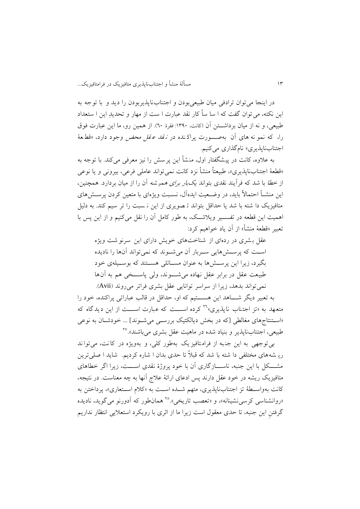در اينجا می توان ترادفی میان طبیعی بودن و اجتناب ناپذير بودن را ديد و با توجه به اين نکته، میتوان گفت که ا سا ساً کار نقد عبارت ا ست از مهار و تحديدِ اين ا ستعداد طبیعی، و نه از میان برداشتن آن (کانت، ١٣٩٠: فقرهٔ ٦٠). از همین رو، ما این عبارت فوق را، که نمو نه های آن به صورت پراکنده در *نقد عقل محض* وجود دارد، «قط عهٔ اجتنابناپذیری» نامگذاری میکنیم.

به عالوه، کانت در پیشگفتار اول، منشأ اين پرسش را نیز معرفی می کند. با توجه به »قطعة اجتنابناپذيری«، طبیعتاً منشأ نزد کانت نمی تواند عاملی فرعی، بیرونی و يا نوعی از خطا با شد که فرآيند نقدی بتواند يکبار برای همی شه آن را از میان بردارد. همچنین، اين منشهأ احتماالً بايد، در وضهعیت ايده آل، نسهبت ويژه ای با متعین کردن پرسهش های متافیزيک دا شته با شد يا حداقل بتواند ت صويری از اين ن سبت را تر سیم کند. به دلیل اهمیت اين قطعه در تفســير ويلاشــک، به طور کامل آن را نقل میکنیم و از اين پس با تعبیر »قطعة منشأ« از آن ياد خواهیم کرد:

عقل بشری در ردهای از شناخت های خويش دارای اين سرنو شت ويژه اسـت که پرسـشهايی سـربار آن می شـوند که نمی تواند آنها را ناديده بگیرد، زیرا این پرستشها به عنوان مستائلی هستند که بوستیلهی خود طبیعت عقل در برابر عقل نهاده می شهوند، ولی پاستخی هم به آن ها نمیتواند بدهد، زيرا از سراسر توانايی عقل بشری فراتر میروند )Avii).

به تعبیر دیگر شــــاهد این هســــتیم که او، حداقل در قالب عباراتی پراکنده، خود را متعهد به «تز اجتناب نايذيری»<sup>۲۹</sup> کرده اســـت که عبارت اســـت از اين ديدگاه که «استنتاجهای مغالطی [که در بخش دیالکتیک بررسهی می شوند] ... خودشان به نوعی طبیعی، اجتنابناپذیر و بنیاد شده در ماهیت عقل بشری میباشند».<sup>۲۷</sup>

بی توجهی به اين جنبه از فرامتافيزيک بهطور کلی، و بهويژه در کانت، می تواند ري شه های مختلفی دا شته با شد که قبالً تا حدی بدان ا شاره کرديم. شا يد ا صلی ترين مشـــکل با اين جنبه، ناســــازگاری آن با خود پروژهٔ نقدی اســــت، زيرا اگر خطاهای متافیزیک ریشه در خود عقل دارند پس ادعای ارائهٔ علاج آنها به چه معناست. در نتیجه، کانت بهواسطهٔ تز اجتنابناپذيری، متهم شـده اسـت به «کلام اسـتعاری»، پرداختن به «روانشناسی کرسی نشینانه»، و «تعصب تاریخی».^\* همانطور که آدورنو میگوید، نادیده گرفتنِ اين جنبه، تا حدی معقول است زيرا ما از اثری با رويکرد استعاليی انتظار نداريم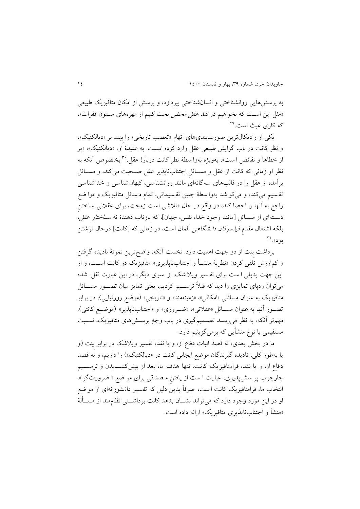به پرسش هايی روانشناختی و انسانشناختی بپردازد، و پرسش از امکان متافیزيک طبیعی «مثل این اســت که بخواهیم در *نقد عقل محض* بحث کنیم از مهرههای ســتون فقرات»، که کاری عبث است.<sup>۲۹</sup>

يکی از راديکالترين صورتبندیهای اتهام »تعصب تاريخی« را بِنِت بر »ديالکتیک«، و نظر کانت در باب گرايش طبيعی عقل وارد کرده اسـت. به عقيدهٔ او، «ديالکتيک»، «پر از خطاها و نقائص است»، بهويژه بهوا سطهٔ نظر کانت دربارهٔ عقل. ب<sup>ه</sup> بخصوص آنکه به نظر او زمانی که کانت از عقل و مســائل اجتنابناپذير عقل صــحبت میکند، و مســائل برآمده از عقل را در قالبهای سه گانهای مانند روانشناسی ، کیهانشناسی و خداشناسی تقسیم می کند، و می کو شد بهوا سطهٔ چنین تقسیماتی، تمام مسائل متافیزیک و موا ضع راجع به آنها را احصا کند، در واقع در حال »تالشی است زمخت، برای عقالنی ساختنِ دســته|ی از مســائل [مانند وجود خدا، نفس، جهان]، که بازتاب دهندهٔ نه *ســاختار عقل*، بلکه اشتغال مقدمِ *فیلسوفان دانشگاهی* آلمان است، در زمانی که [کانت] درحال نوشتن بود».'<sup>۳۱</sup>

برداشت بِنِت از دو جهت اهمیت دارد. نخست آنکه، واضحترين نمونة ناديده گرفتن و کمارزش تلقی کردن «نظريهٔ منشــأ و اجتنابناپذيری» متافيزيک در کانت اســت، و از اين جهت بديلی ا ست برای تف سیر ويال شک. از سوی ديگر، در اين عبارت نقل شده میتوان ردپای تمايزی را ديد که قبلاً ترســيم کرديم، يعنی تمايز ميان تصــور مســـائل متافيزيک به عنوان مسائلی «امکانی»، «زمينهمند» و «تاريخی» (موضع رورتيايی)، در برابر تصور آنها به عنوان مســائل «عقلانی»، «ضــروری» و «اجتنابناپذير» (موضــع کانتی). مهمتر آنکه، به نظر میرسهد تصهمیمگیری در باب وجهِ پرسهشهای متافیزيک، نسهبت مستقیمی با نوع منشأيی که برمیگزينیم دارد.

ما در بخش بعدی، نه قصد اثبات دفاع از، و يا نقد، تفسیر ويالشک در برابر بِنِت )و يا بهطور کلي، ناديده گيرندگان موضع ايجابي کانت در «ديالکتيک») را داريم، و نه قصد دفاع از، و یا نقد، فرامتافیزیک کانت. تنها هدف ما، بعد از پیش کشـــیدن و ترســـیم چارچوب پر سش پذيری، عبارت ا ست از يافتنِ م صداقی برای مو ضع » ضرورت گرا«. انتخاب ما، فرامتافیزيک کانت ا ست، صرفاً بدين دلیل که تف سیر دان شورانه ای از مو ضعِ او در اين مورد وجود دارد که می تواند نشـــان بدهد کانت برداشـــتی نظاممند از مســـألهٔ «منشأ و اجتنابناپذیری متافیزیک» ارائه داده است.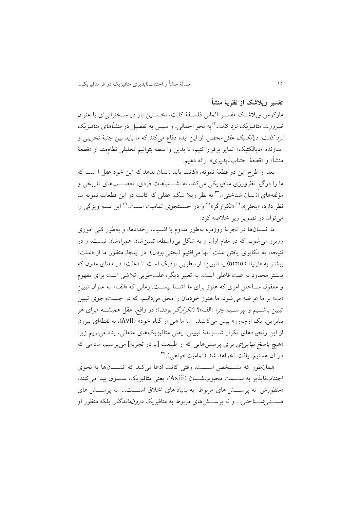05 مسألة منشأ و اجتنابناپذيری متافیزيک در فرامتافیزيک...

**تفسیر ویالشک از نظریة منشأ** 

مارکوس ويلاشـک مفســر آلمانی فلســفهٔ کانت، نخســتین بار در ســخنرانی|ی با عنوان ضر*ورت متافیزیک نزد کانت <sup>۳۲</sup>ب*ه نحو اجمالی، و سپس به تفصیل در *منشأهای متافیزیک* نز*د کانت: ديالکتيک عقل محض،* از اين ايده دفاع میکند که ما بايد بين جنبهٔ تخريبی و سازندهٔ «ديالکتيک» تمايز برقرار کنيم، تا بدين وا سطه بتوانيم تحليلي نظام مند از «قطعهٔ منشأ» و «قطعهٔ اجتنابناپذیری» ارائه دهیم.

بعد از طرح اين دو قطعهٔ نمونه، «کانت بايد ن شان بدهد که اين خود عقل ا ست که ما را درگيرِ نظرورزی متافيزيکی میکند، نه اشـــتباهات فردی، تعصـــبهای تاريخی و مؤلفههای از سان شناختی». پستم نظر ویلا شک، عقلی که کانت در این قطعات نمونه مد نظر دارد، «بحثی»<sup>۳،</sup> «تکرارگر»<sup>۳</sup> و در جســتجوی تمامیت اســت.™ این ســه ویژگی را میتوان در تصوير زير خالصه کرد:

ما انســانها در تجربهٔ روزمره بهطور مداوم با اشــياء، رخدادها، و بهطور کلی اموری روبرو میشويم که در مقام اول، و به شکل بی واسطه، تبیین شان همراه شان نیست، و در نتیجه، به تکاپوی یافتن علتِ آنها می افتیم (*بحثی بودن*). در اینجا، منظور ما از «علت» بیشتر به «آيتيا» (αιτια) يا «تبيين» ارسطويی نزديک است تا «علت» در معنای مدرن که بیشتر محدود به علت فاعلی است. به تعبیر دیگر، علت جویی تلاشی است برای مفهوم و معقول سـاختن امری که هنوز برای ما آشـنا نیسـت. زمانی که «الف» به عنوان تبیین »ب« بر ما عرضه می شود، ما هنوز خودمان را محق می دانیم، که در جست وجویِ تبیینِ تبیین باشــیم و بپرســیم چرا «الف»؟ (*تکرارگر بودن*)؛ در واقع، عقل همیشــه «برای هر بنابراين، يک ازچهرو« پیش میک شد. اما ما »بی از گناه خود« )Avii)، به نقطهای بیرون از اين زنجيرههای تکرار شـــوندهٔ تبيينی، يعنی متافيزيک های متعالی، پناه می بريم زيرا «هیچ *پاسخ نهایی ای* برای پرسشهایی که از طبیعت [یا در تجربه] میپرسیم، مادامی که در آن هستیم، یافت نخواهد شد (تمامیتخواهی).<sup>۳۷</sup>

همان طور که مشــخص اســـت، وقتی کانت ادعا می کند که انســـانها به نحوی اجتناب ناپذير به ســـمت محبوب شـــان (Axiii)، يعنی متافيزيک، ســـوق پيدا می کنند، «منظورش نه پرســش های مربوط به بنیاد های اخلاق اســـت... نه پرســش های هس*ستی شسخاختی...* و نه پرسسشهای مربوط به متافیزیک *درونماندگار.* بلکه منظور او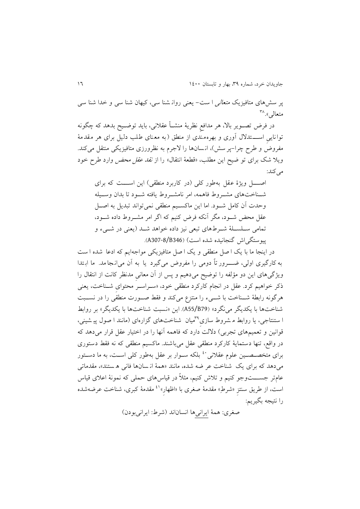پر سش های متافیزيک متعالی ا ست - يعنی روان شنا سی، کیهان شنا سی و خدا شنا سی متعالی».^۳

در فرض تصهوير باال، هر مدافعِ نظرية منشهأ عقالنی، بايد توضهیح بدهد که چگونه تواناییِ اســــتدلال آوری و بهرهمندی از منطق (به معنای طلب دلیل برای هر مقدمهٔ مفروض و طرح چرا-پر سش(، ان سان ها را الجرم به نظرورزی متافیزيکی منتقل میکند. ويلا شک برای تو ضيح اين مطلب، «قطعهٔ انتقال» را از *نقد عقل محض* وارد طرح خود می کند:

اصهل ويژهٔ عقل بهطور کلی (در کاربرد منطقی) اين اســـت که برای شهناختهای مشهروط فاهمه، امر نامشهروط یافته شهود تا بدان وسهیله وحدت آن کامل شـود. اما اين ماکسـيم منطقی نمیتواند تبديل به اصــل عقل محض شهود، مگر آنکه فرض کنیم که اگر امر مشهروط داده شهود، تمامی سـلسـلهٔ شـرطهای تبعی نیز داده خواهد شـد (يعنی در شــیء و پیوستگی اش گنجانیده شده است) (8/B346-A307).

در اينجا ما با يک ا صل منطقی و يک ا صل متافیزيکی مواجه ايم که ادعا شده ا ست به کارگیری اولی، ضـــــرور تاً دومی را مفروض می گیرد یا به آن می[نجامد. ما ابـتدا ويژگیهای اين دو مؤلفه را توضیح میدهیم و پس از آن معانیِ مدنظر کانت از انتقال را ذکر خواهیم کرد. عقل در انجام کارکرد منطقی خود، «سـراسـر محتوای شـناخت، يعنی هرگونه رابطهٔ شــناخت با شـــیء را منتزع میکند و فقط صـــورت منطقی را در نســبت شناخت ها با يکديگر مینگرد« )79B55/A). اين »نسبت شناخت ها با يکديگر« بر روابط ا ستنتاجی، یا روابط مشروط سازی <sup>۳۹</sup>میان شناختهای گزارهای (مانند ا صول پیشینی، قوانین و تعمیمهای تجربی) دلالت دارد که فاهمه آنها را در اختیار عقل قرار میدهد که در واقع، تنها دستمايهٔ کارکرد منطقی عقل میباشند. ماکسیم منطقی که نه فقط دستوری برای متخصـصــین علوم عقلانی <sup>،٤</sup> بلکه ســوار بر عقل بهطور کلی اســت، به ما دســتور میدهد که برای یک شناخت عر ضه شده، مانند «همهٔ از سانها فانی ه ستند»، مقدماتی عامتر جســــتوجو کنیم و تلاش کنیم، مثلاً در قیاس۵ای حملی که نمونهٔ اعلای قیاس است، از طریق سنتز «شرطِ» مقدمهٔ صغری با «اظهار»<sup>۶۱</sup> مقدمهٔ کبری، شناخت عرضهشده را نتیجه بگیريم:

صغری: همة ايرانیها انساناند )شرط: ايرانیبودن(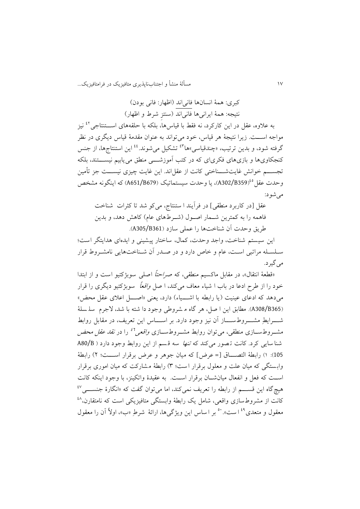07 مسألة منشأ و اجتنابناپذيری متافیزيک در فرامتافیزيک...

کبری: همة انسانها فانیاند )اظهار: فانی بودن( نتیجه: همة ايرانیها فانیاند )سنتزِ شرط و اظهار( به علاوه، عقل در اين کارکرد، نه فقط با قياسها، بلکه با حلقههای اســـتنتاجی<sup>٤٢</sup> نيز مواجه اســـت. زيرا نتيجهٔ هر قياس، خود می تواند به عنوان مقدمهٔ قیاس ديگری در نظر گرفته شود، و بدین ترتیب، «چندقیاسی»ها<sup>۹۳</sup> تشکیل میشوند.<sup>٤٤</sup> این استنتاجها، از جنس کنجکاوی ها و بازی های فکری ای که در کتب آموزشــــی منطق می یابیم نیســـتند، بلکه تجســـم خوانش غايتشـــناختی کانت از عقل!ند. اين غايت چیزی نیســـت جز تأمین وحدت عقل <sup>03</sup>(8359/B359)، يا وحدت سيستماتيک (A651/B679) که اينگونه مشخص میشود:

عقل ]در کاربرد منطقی[ در فرآيند ا ستنتاج، می کو شد تا کثرات شناخت فاهمه را به کمترين شــمار اصــول (شــرطهای عام) کاهش دهد، و بدين طريق وحدت آن شناختها را عملی سازد )361B305/A).

اين سيستم شناخت، واجد وحدت، كمال، ساختار پيشينی و ايدهای هدايتگر است؛ سلسله مراتبی است، عام و خاص دارد و در صدر آن شـناختهايی نامشـروط قرار می گیر د.

«قطعهٔ انتقال»، در مقابل ماکسیم منطقی، که صر*احتاً* اصلی سوبژکتیو است و از ابتدا خود را از طرح ادعا در باب ا شیاء معاف میکند، ا صل *واقعاً* سوبژکتیو دیگری را قرار میدهد که ادعای عینیت (یا رابطه با اشـــیاء) دارد، یعنی «اصــــل اعلای عقل محض» (A308/B365). مطابق اين ا صل، هر گاه م شروطی وجود دا شته با شد، لاجرم سلمسلهٔ شــــــرايطِ مشــــــروطســـــــاز آن نيز وجود دارد. بر اســــــاس اين تعريف، در مقابل روابط مشــروطســازی منطقی، می¤وان روابط مشــروطســازی *واقعی<sup>51</sup> ر*ا در *نقد عقل محض* شنا سايی کرد. کانت تصور میکند که *تنها* سه قسم از اين روابط وجود دارد ( A80/B 105): ١) رابطة التصــــاق [= عرض] که میان جوهر و عرض برقرار اســــت؛ ٢) رابطهٔ واب ستگی که میان علت و معلول برقرار ا ست؛ 9( رابطة م شارکت که میان اموری برقرار اسـت که فعل و انفعال میانشـــان برقرار اســت. به عقیدهٔ واتکینز، با وجود اینکه کانت هیچگاه این قســــم از رابطه را تعریف نمیکند، اما می¤وان گفت که «انگارهٔ جنســــی<sup>٤٧</sup> کانت از مشروط سازی واقعی، شامل يک رابطهٔ وابستگی متافیزيکی است که نامتقارن،<sup>۱۸</sup> معقول و متعدی<sup>٤٩</sup> است». ٥٠ بر اساس اين ويژگی ها، ارائهٔ شرطِ «ب»، اولاً آن را معقول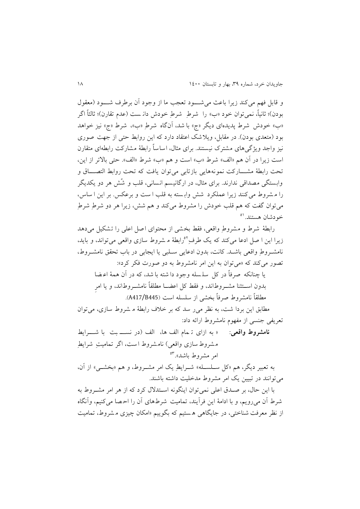و قابل فهم می کند زيرا باعث می شهود تعجب ما از وجود آن برطرف شهود (معقول بودن)؛ ثانیاً، نمیتوان خود «ب» را شرطِ شرطِ خودش دانـست (عدم تقارن)؛ ثالثاً اگر »ب« خودش شرط پديده ای ديگر »ج« با شد، آن گاه شر طِ »ب«، شرط »ج« نیز خواهد بود (متعدی بودن). در مقابل، ويلاشک اعتقاد دارد که اين روابط حتی از جهت صوری نیز واجد ویژگی های مشترک نیستند. برای مثال، اساساً رابطهٔ مشارکت رابطهای متقارن است زيرا در آن هم «الف» شرط «ب» است و هم «ب» شرط «الف». حتى بالاتر از اين، تحت رابطهٔ مشــارکت نمونههايی بازتابی می توان يافت که تحت روابط التصـــاق و وابستگی مصداقی ندارند. برای مثال، در ارگانیسم انسانی، قلب و شُش هر دو يکديگر را م شروط می کنند زيرا عملکرد شش واب سته به قلب ا ست و برعکس. بر اين ا ساس، میتوان گفت که هم قلب خودش را مشروط میکند و هم شش، زيرا هر دو شرطِ شرطِ خودشان هستند.<sup>٥١</sup>

رابطة شرط و مشروطِ واقعی، فقط بخشی از محتوای اصل اعلی را تشکیل می دهد زیرا این ا صل ادعا می کند که یک طرفِ <sup>0۲</sup>رابطهٔ م شروط سازی واقعی می تواند، و باید، نامشهروطِ واقعی باشهد. کانت، بدون ادعايی سهلبی يا ايجابی در باب تحقق نامشهروط، تصور میکند که »میتوان به اين امر نامشروط به دو صورت فکر کرد«:

يا چنانکه صرفاً در کل سلسله وجود دا شته با شد، که در آن همهٔ اعـضا بدون اســتثنا مشــروطاند، و فقط کل اعضــا مطلقاً نامشــروطاند، و يا امرِ مطلقاً نامشروط صرفاً بخشی از سلسله است )445B417/A).

مطابق اين بردا شت، به نظر می ر سد که بر خلاف رابطهٔ م شروط سازی، می توان تعريفی جنسی از مفهوم نامشروط ارا ه داد:

<mark>نامشروط واقعی</mark>: « به ازای تہمام الف ها، الف (در نســــ بت با شــــرايط مشروط سازی واقعی) نامشروط است، اگر تمامیتِ شرایطِ امر مشروط باشد».<sup>۵۳</sup>

به تعبیر ديگر، هم »کل سهلسهله« شهرايطِ يک امر مشهروط، و هم »بخشهی« از آن، میتوانند در تبیین يک امر مشروط مدخلیت داشته باشند.

با اين حال، بر صهدق اعلی نمیتوان اينگونه اسهتدالل کرد که از هر امر مشهروط به شرط آن می رويم، و با ادامة اين فرآيند، تمامیت شرط های آن را اح صا می کنیم، وآنگاه از نظر معرفت شناختی، در جايگاهی هستيم که بگوييم «امکان چيزی مشروط، تماميت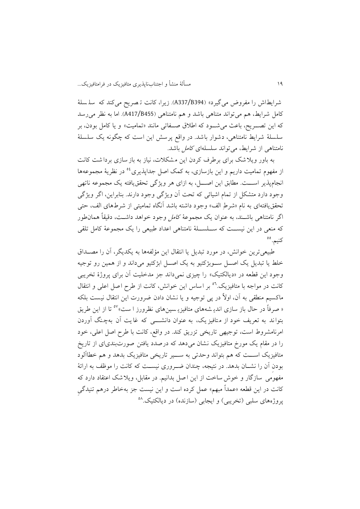شرايط اش را مفروض میگیرد« )394B337/A). زيرا، کانت ت صريح می کند که سل سل ة کامل شرايط، هم می تواند متناهی باشد و هم نامتناهی )455B417/A). اما به نظر میرسد که اين تصـريح، باعث مي شـود که اطلاق صـفاتی مانند «تماميت» و يا کامل بودن، بر سلسلهٔ شرايط نامتناهی، دشوار باشد. در واقع پرسش اين است که چگونه يک سلسلهٔ نامتناهی از شرايط، میتواند سلسلهای کامل باشد.

به باور ويال شک برای برطرف کردن اين م شکالت، نیاز به باز سازی بردا شت کانت از مفهوم تمامیت داریم و این بازسازی، به کمک اصل جداپذیری<sup>06</sup> در نظریهٔ مجموعهها انجامپذير اســـت. مطابق اين اصــــل، به ازای هر ويژگی تحقق يافته يک مجموعه ناتهی وجود دارد متشکل از تمام اشيائي که تحت آن ويژگی وجود دارند. بنابراين، اگر ويژگی تحققيافتهای به نام »شرطِ الف« وجود داشته باشد آنگاه تمامیتی از شرطهای الف، حتی اگر نامتناهی باشــند، به عنوان يک مجموعهٔ *کامل وجو*د خواهد داشــت، دقیقاً همانطور که منعی در اين نيســت که ســـلســـلهٔ نامتناهی اعداد طبیعی را يک مجموعهٔ کامل تلقی کنیم. °°

طبیعیترين خوانش، در مورد تبديل يا انتقال اين مؤلفهها به يکديگر، آن را مصههداق خلط يا تبديل يک اصــل ســوبژکتيو به يک اصــل ابژکتيو ميداند و از همين رو توجيه وجود اين قطعه در «ديالکتيک» را چيزی نمي داند جز مدخليت آن برای پروژهٔ تخريبي کانت در مواجه با متافيزيک. <sup>٥٦</sup> بر اساس اين خوانش، کانت از طرح اصل اعلی و انتقال ماکسیم منطقی به آن ، اوالً در پی توجیه و يا نشان دادن ضرورت اين انتقال نیست بلکه « صرفاً در حال باز سازی اندی<sub>شههای</sub> متافیزی<sub>ـ</sub>سینِهای نظرورز ا ست»<sup>۵۷</sup> تا از این طریق بتواند به تعريف خود از متافيز يک، به عنوان دانشــــي که غايت آن بهچنگ آوردن امرنامشروط است، توجیهی تاريخی تزريق کند. در واقع، کانت با طرح اصل اعلی، خود را در مقام يک مورخ متافیزيک نشان می دهد که درصدد يافتن صورت بندیای از تاريخ متافیزیک اســـت که هم بتواند وحدتی به ســــیر تاریخی متافیزیک بدهد و هم خطاآلود بودن آن را نشــان بدهد. در نتیجه، چندان ضــروری نیســت که کانت را موظف به ارائهٔ مفهومی سازگار و خوش ساخت از اين ا صل بدانیم. در مقابل، ويال شک اعتقاد دارد که کانت در اين قطعه »عمداً مبهم« عمل کرده است و اين نیست جز بهخاطر درهم تنیدگیِ پروژههای سلبی (تخريبی) و ايجابی (سازنده) در ديالکتيک.<sup>۵۸</sup>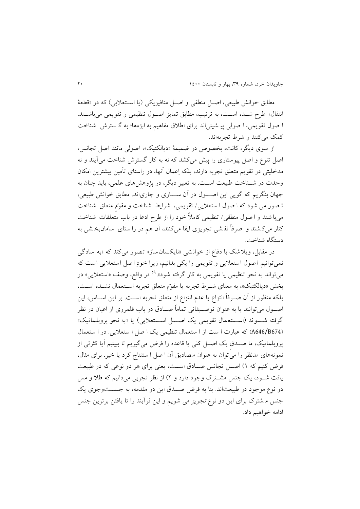مطابق خوانش طبیعی، اصل منطقی و اصل متافیزیکی (یا استعلایی) که در «قطعهٔ انتقال» طرح شــده اســت، به ترتیب، مطابق تمایز اصــول تنظیمی و تقویمی میباشــند. ا صول تقويمی، ا صولی پی شینی اند برای اطالق مفاهیم به ابژهها؛ به گ سترش شناخ ت کمک می کنند و شرط تجربهاند.

از سوی ديگر، کانت، بخصوص در ضميمهٔ «ديالکتيک»، اصولي مانند اصل تجانس، اصل تنوع و اصل پیوستاری را پیش می کشد که نه به کار گسترش شناخت می آيند و نه مدخلیتی در تقويم متعلق تجربه دارند، بلکه اِعمال آنها، در راستای تأمین بیشترين امکان وحدت در شــناخت طبیعت اســت. به تعبیر دیگر، در پژوهشهای علمی، باید چنان به جهان بنگريم که گويی اين اصـول در آن ســـاری و جاریاند. مطابق خوانش طبیعی، ت صور می شود که ا صول ا ستعاليی/ تقويمی، شرايط شناخت و مقوّمِ متعلق شناخت میبا شند و ا صول منطقی/ تنظیمی کامالً خود را از طرح ادعا در باب متعلقات شناخت کنار میک شند و صرفاً نق شی تجویزی ایفا میکنند، آن هم در را ستای سامان بخشی به دستگاه شناخت.

در مقابل، ويلاشک با دفاع از خوانشي «نايکسان ساز» تصور می کند که «به سادگی نمیتوانیم اصول استعاليی و تقويمی را يکی بدانیم، زيرا خودِ اصل استعاليی است که میتواند به نحو تنظیمی یا تقویمی به کار گرفته شود».<sup>۵۹</sup> در واقع، وصف «استعلایی» در بخش «ديالکتيک»، به معناى شـرط تجربه يا مقوّم متعلق تجربه اسـتعمال نشـده اسـت، بلکه منظور از آن صــرفاً انتزاع يا عدم انتزاع از متعلق تجربه اســت. بر اين اســاس، اين اصــول می توانند يا به عنوان توصــيفاتی تماماً صــادق در باب قلمروی از اعیان در نظر گرفته شهوند (اســـتعمال تقويمی يک اصــــل اســـتعلايی) يا «به نحو پروبلماتيک» )674B646/A )که عبارت ا ست از ا ستعمال تنظیمی يک ا صل ا ستعاليی. در ا ستعمال پروبلماتیک، ما صـدق يک اصــل کلی يا قاعده را فرض میگیريم تا ببينيم آيا کثرتی از نمونههای مدنظر را میتوان به عنوان م صاديق آن ا صل ا ستنتاج کرد يا خیر. برای مثال، فرض کنیم که ۱) اصل تجانس صادق است، يعنی برای هر دو نوعی که در طبیعت يافت شـود، يک جنس مشـترک وجود دارد و ٢) از نظر تجربی میدانیم که طلا و مس دو نوع موجود در طبیعتاند. بنا به فرض صـدق اين دو مقدمه، به جســتوجوی يک جنس م شترک برای اين دو نوع تجويز می شويم و اين فرآيند را تا يافتن برترين جنس ادامه خواهیم داد.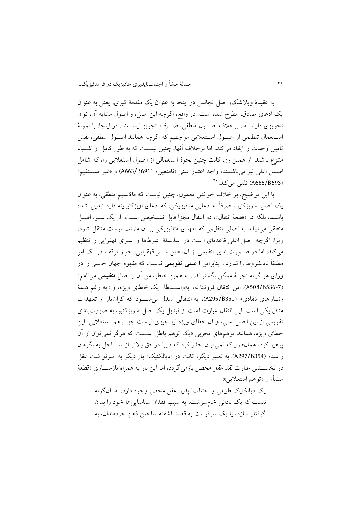به عقیدة ويالشک، ا صل تجانس در اينجا به عنوان يک مقدم ة کبری، يعنی به عنوان يک ادعای صادق، مطرح شده است. در واقع، اگرچه اين اصل، و اصول مشابه آن، توان تجويزی دارند اما، برخلاف اصوول منطقی، صهرفِ تجويز نيســتند. در اينجا، با نمونهٔ اسـتعمال تنظیمی از اصـول اسـتعلایی مواجهیم که اگرچه همانند اصـول منطقی، نقش تأمین وحدت را ایفاد میکند، اما برخلاف آنها، چنین نیسـت که به طور کامل از اشــیاء منتزع با شند. از همین رو، کانت چنین نحوهٔ ا ستعمالی از ا صول ا ستعلایی را، که شامل اصل اعلی نیز میباشـند، واجد اعتبار عینی «نامتعین» (8663/B691) و «غیر مسـتقیم» (A665/B693) تلقی میکند. <sup>۲۰</sup>

با اين تو ضیح، بر خالف خوانش معمول، چنین نی ست که ماک سیم منطقی، به عنوان يک ا صل سوبژکتيو، صرفاً به ادعايی متافيزيکی، که ادعای اوبژکتيويته دارد تبديل شده باشـد، بلکه در «قطعهٔ انتقال»، دو انتقال مجزا قابل تشـخیص اسـت. از یک سـو، اصـل منطقی می تواند به اصلی تنظیمی که تعهدی متافیزیکی بر آن مترتب نیست منتقل شود، زيرا، اگرچه ا صل اعلی قاعدهای ا ست در سلسلهٔ شرطها و سیری قهقرایی را تنظیم میکند، اما در صههورتبندی تنظیمی از آن، »اين سههیر قهقرايی، جواز توقف در يک امر مطلقاً نام شروط را ندارد... بنابراين **ا صلی تقویمی** نی ست که مفهوم جهان ح سی را در ورای هر گونه تجربة ممکن بگستراند... به همین خاطر، من آن را اصل **تنظیمی** مینامم« )536-7B508/A). اين انت قال فروت نا نه، ب هواسههه ط ة يک خ طای ويژه، و » به رغم ه م ة زنهار های نقادی» (A295/B351)، به انتقالی مبدل می شـود که گران بار از تعهدات متافیزيکی است. اين انتقال عبارت است از تبديل يک اصل سوبژکتیو، به صورت بندی تقويمی از اين ا صل اعلی، و آن خطای ويژه نیز چیزی نی ست جز توهم ا ستعاليی. اين خطای ویژه، همانند توهمهای تجربی «یک توهم باطل اســت که هرگز نمی توان از آن پرهیز کرد، همان طور که نمی توان حذر کرد که دریا در افق بالاتر از ســـاحل به نگرمان ر سد» (8354/A297). به تعبیر ديگر، کانت در «ديالکتيک» بار ديگر به سرنو شت عقل در نخســـتین عبارت *نقد عقل محض* بازمیگردد، اما این بار به همراه بازســـازیِ «قطعهٔ منشأ» و «توهم استعلایی»:

يک ديالکتیک طبیعی و اجتناب ناپذير عقل محض وجود دارد، اما آنگونه نیست که یک نادانی خامسرشت، به سبب فقدان شناساییها خود را بدان گرفتار سازد، يا يک سوفیست به قصد آشفته ساختن ذهن خردمندان، به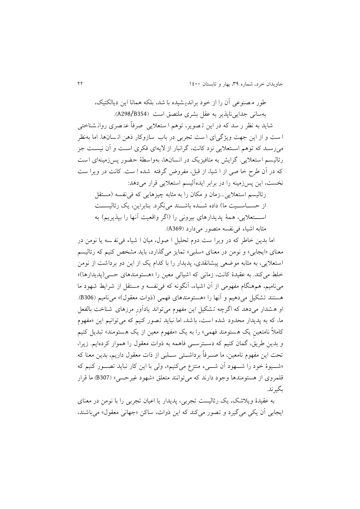طور م صنوعی آن را از خود براندي شیده با شد، بلکه همانا اين ديالکتیک، بهسانی جدايی ناپذير به عقل بشری ملتصق است (A298/B354). شايد به نظر ر سد که در اين ت صوير، توهم ا ستعاليی صرفاً عن صری روان شناختی ا ست و از اين جهت ويژگی ای ا ست تجربی در باب ساز وکار ذهن ان سان ها. اما بهنظر میرسهد که توهم اسهتعاليی نزد کانت، گرانبار از اليه ای فکری اسهت و آن نیسهت جز رئالیسم استعلایی. گرایش به متافیزیک در انسانها، بهواسطهٔ حضور پس زمینهای است که در آن طرح خا صی از ا شیا، از قبل، مفروض گرفته شده ا ست. کانت در ويرا ست نخست، اين پسزمینه را در برابر ايدهآلیسم استعاليی قرار میدهد: رئالیسم استعلایی ...زمان و مکان را به مثابه چیز هایی که فی نفسه (مستقل از حسـاســيت ما) داده شــده باشــند می نگرد. بنابراين، يک رئاليســت اســـتعلايی، همهٔ پديدارهای بیرونی را (اگر واقعیت آنها را بپذيريم) به مثابه اشیاء فی نفسه متصور می دارد (A369).

اما بدين خاطر که در ويرا ست دوم تحليل ا صول، ميان ا شياء في نفسه يا نومن در معنای »ايجابی« و نومن در معنای »سلبی« تمايز میگذارد، بايد مشخص کنیم که ر الیسم استعاليی، به مثابه موضعی پیشانقدی، پديدار را با کدام يک از اين دو برداشت از نومن خلط می کند. به عقیدهٔ کانت، زمانی که اشیائی معین را «هستومندهای حسی(پدیدارها)» مینامیم، همهنگام مفهومی از آن اشیاء، آنگونه که فی نفسه و مستقل از شرایط شهود ما هستند تشکیل می دهیم و آنها را «هستومندهای فهمی (ذوات معقول)» می نامیم (B306). او ه شدار می دهد که اگرچه ت شکیل اين مفهوم می تواند يادآورِ مرزهای شناخت بالفعل ما، که به پديدار محدود شده است، باشد، اما نبايد تصور کنیم که می توانیم اين »مفهوم کاملاً نامتعین يک هستومند فهمی» را به يک «مفهوم معین از يک هستومند» تبديل کنیم و بدين طريق، گمان کنيم که دسترسه فاهمه به ذوات معقول را هموار کردهايم. زيرا، تحت اين مفهوم نامعين، ما صــرفاً برداشــتی ســلبی از ذات معقول داريم، بدين معنا که «شهوهٔ خود را شههود آن شهیء منتزع میکنیم»، ولی با اين کار نبايد تصور کنیم که قلمروی از هستومندها وجود دارند که میتوانند متعلق »شهود غیرحسی« )307B )ما قرار بگیرند.

به عقیدة ويالشک، يک ر الیست تجربی، پديدار يا اعیان تجربی را با نومن در معنای ايجابی آن يکی میگیرد و تصور می کند که اين ذوات، ساکن »جهانی معقول« میباشند،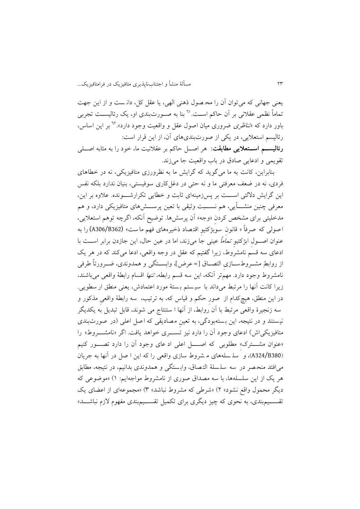يعنی جهانی که میتوان آن را مح صول ذهنی الهی، يا عقل کل، دان ست و از اين جهت تماماً نظمی عقلانی بر آن حاکم اسـت.'<sup>٦</sup> بنا به صـورت بندی او، یک رئالیســت تجربی باور دارد که *«تناظری ض*روری میان اصول عقل و واقعیت وجود دارد».<sup>٦٢</sup> بر این اساس، ر الیسم استعاليی، در يکی از صورتبندیهای آن، از اين قرار است: **رئالیســم اســتعلایی مطابقت**: هر اصــل حاکم بر عقلانیت ما، خود را به مثابه اصـــلی تقويمی و ادعايی صادق در باب واقعیت جا میزند.

بنابراين، کانت به ما می گويد که گرايش ما به نظرورزی متافیزيکی، نه در خطاهای فردی، نه در ضعف معرفتی ما و نه حتی در دغلکاری سوفیستی، بنیان ندارد بلکه نفس اين گرايش دلالتی اســـت بر پسزرمينهای ثابت و خطايی تکرارشــــونده. علاوه بر اين، معرفی چنین منشـــأیی، هم نســــبت وثیقی با تعین پرســــشهای متافیزیکی دارد، و هم مدخلیتی برای مشخص کردنِ »وجه« آن پرسشها. توضیح آنکه، اگرچه توهم استعاليی، ا صولی که صرفاً » قانونِ سوبژکتیوِ اقت صاد ذخیرههای فهم ما ست « (362B306/A (را به عنوان اصهول ابژکتیو *تماماً عینی* جا میزند، اما در عین حال، این جازدن برابر اســت با ادعای سه قسم نامشروط، زيرا گفتیم که عقل در وجه واقعی، ادعا میکند که در هر يک از روابطِ مشــروطســازی التصــاق [= عرض]، وابســتگی و همدوندی، ضــرورتاً طرفی نامشروط وجود دارد. مهم تر آنکه، اين سه قسم رابطه، *تنها* اقسام رابطهٔ واقعی میباشند، زيرا كانت آنها را مرتبط میداند با سيستم بستهٔ مورد اعتمادش، يعنی منطق ار سطويی. در اين منطق، هیچکدام از صور حکم و قیاس که، به ترتیب، سه رابطهٔ واقعی مذکور و سه زنجیر ة واقعی مرتبط با آن روابط، از آنها ا ستنتاج می شوند، قابل تبديل به يکد يگر نیستند و در نتیجه، این بستهبودگی، به تعین مصادیقی که اصل اعلی (در صورتبندی متافیزیکی اش) ادعای وجود آن را دارد نیز تســــری خواهد یافت. اگر «نامشــــروط» را «عنوان مشـــترک» مطلوبی که اصــــل اعلی اد عای وجود آن را دارد تصـــور کنیم (A324/B380)، و سله سله های م شروط سازی واقعی را که اين ا صل در آنها به جريان می|فتد منحصر در سه سلسلهٔ التصاق، وابستگی و همدوندی بدانیم، در نتیجه، مطابق هر يک از اين سلسله ها، با سه مصداق صوری از نامشروط مواجه ايم: 0( »موضوعی که ديگر محمول واقع نشود» ۲) «شرطی که مشروط نباشد» ۳) «مجموعهای از اعضای يک تقســیمبندی، به نحوی که چیز دیگری برای تکمیل تقســیمبندی مفهوم لازم نباشـــد»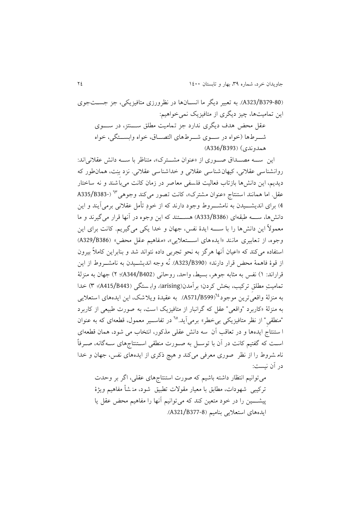)379-80B323/A). به تعبیر ديگر ما انسهانها در نظرورزی متافیزيکی، جز جسهتجوی اين تمامیتها، چیز ديگری از متافیزيک نمیخواهیم: عقل محض هدف ديگری ندارد جز تماميت مطلق ســـنتز، در ســـوی شهرطها (خواه در سهوی شهرطهای التصاق، خواه وابســتگی، خواه )A336/B393( )همدوندی

اين سه مصـداق صـوری از «عنوان مشـترک»، متناظر با سـه دانش عقلانی اند: روانشناسی عقالنی، کیهان شناسی عقالنی و خداشناسی عقالنی. نزد بِنِت، همان طور که ديديم، اين دانشها بازتاب فعاليت فلسفى معاصر در زمان کانت مى باشند و نه ساختار عقل. اما همانند استنتاج «عنوان مشترک»، کانت تصور می کند وجوهی<sup>٦٣</sup> (-A335/B383 4) برای انديشــــيدن به نامشــــروط وجود دارند که از خودِ تأمل عقلانی برمیآيند و اين دانشها، ســـه طبقهای (B386/B386) هســـتند که اين وجوه در آنها قرار می گیرند و ما معمولاً اين دانشها را با ســــه ايدهٔ نفس، جهان و خدا يکی می گیريم. کانت برای اين وجوه، از تعابیری مانند «ایده های استعلایی»، «مفاهیم عقل محض» (A329/B386) استفاده می کند که »اعیان آنها هرگز به نحو تجربی داده نتواند شد و بنابراين کامالً بیرون از قوة فاهمة محض قرار دارند» (B390/B390). نُه وجه انديشــيدن به نامشــروط از اين قراراند: 0( نفس به مثابه جوهر، بسیط، واحد، روحانی )402B344/A)؛ 4( جهان به منزلة تمامیتِ مطلقِ ترکیب، بخش کردن؛ برآمدن)arising)، واب ستگی )443B415/A)؛ 9( خدا به منزلهٔ واقعی ترين موجود<sup>31</sup>(A571/B599). به عقیدهٔ ويلاشک، اين ايدههای استعلايی به منزلة »کاربرد "واقعی" عقل که گرانبار از متافیزيک است، به صورت طبیعی از کاربرد "منطقیِ" از نظر متافیزیکی بیخطر» برمیآید.<sup>76</sup> در تفاســیر معمول، قطعهای که به عنوان ا ستنتاج ايدهها و در تعاقب آن سه دانش عقلی مذکور، انتخاب می شود، همان قطعه ای اسهت که گفتیم کانت در آن با توسهل به صهورت منطقی اسهتنتاجهای سههگانه، صهرفاً نام شروط را از نظر صوری معرفی می کند و هیچ ذکری از ايدههای نفس، جهان و خدا در آن نیست:

میتوانیم انتظار داشته باشیم که صورت استنتاجهای عقلی، اگر بر وحدت ترکیبی شهودات، مطابق با معیار مقولات تطبیق شود، منـشأ مفاهیم ويژهٔ پیشــــین را در خود متعین کند که می توانیم آنها را مفاهیم محض عقل یا ايدههای استعاليی بنامیم )377-8B321/A).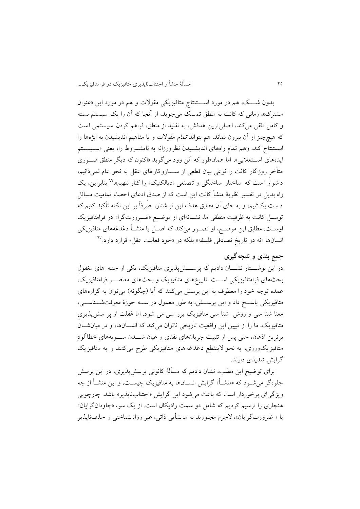بدون شـــک، هم در مورد اســـتنتاج متافیزيکی مقولات و هم در مورد اين «عنوان مشترک»، زمانی که کانت به منطق تمسک می جوید، از آنجا که آن را یک سیستم بسته و کامل تلقی میکند، اصلی ترین هدفش، به تقلید از منطق، فراهم کردن سیستمی است که هیچچیز از آن بیرون نماند. هم بتواند تمام مقوالت و يا مفاهیم انديشیدن به ابژهها را استنتاج کند، وهم تمام راههای انديشهیدن نظرورزانه به نامشـروط را، يعنی «سـيسـتم ايدههای اسـتعلايی». اما همانطور که آلن وود میگويد «اکنون که ديگر منطق صـوری متأخرِ روزگار کانت را نوعی بیان قطعی از سهههازوکار های عقل به نحو عام نمی دانیم، د شوار ا ست که ساختار ساختگی و تصنعی «ديالکتيک» را کنار ننهيم».<sup>٦٦</sup> بنابراين، يک راه بديل در تفسير نظريهٔ منشأ کانت اين است که از صدق ادعای احصاء تمامیت مسائل د ست بک شیم، و به جای آن مطابق هدف اين نو شتار، صرفاً بر اين نکته تأکید کنیم که توســل کانت به ظرفیت منطقی ما، نشــانهای از موضــع «ضــرورتگرا» در فرامتافیزیک اوسـت. مطابق اين موضـع، او تصــور میکند که اصــل يا منشــأ دغدغههای متافيزيکی نسانها «نه در تاريخ تصادفی فلسفه» بلکه در «خود فعالیت عقل» قرارد دارد.<sup>٦٧</sup>

## **جمع بندی و نتیجهگیری**

در اين نوشـــتار نشـــان داديم که پرســـش(پذيری متافيزيک، يکی از جنبه های مغفول بحثهای فرامتافیزيکی اسههت. تاريخهای متافیزيک و بحثهای معاصههر فرامتافیزيک، عمده توجه خود را معطوف به اين پرسش میکنند که آيا (چگونه) میتوان به گزارههای متافیزیکی پاســخ داد و اين پرســش، به طور معمول در ســه حوزهٔ معرفتشــناســی، معنا شنا سی و روش شنا سی متافیزيک برر سی می شود. اما غفلت از پر سش پذيریِ متافيزيک، ما را از تبيين اين واقعيت تاريخی ناتوان میکند که انسانها، و در ميانشان برترين اذهان، حتی پس از تثبیت جريانهای نقدی و عیان شههدن سههويههای خطاآلودِ متافیز یک ورزی، به نحو لاینقطع دغدغه های متافیزیکی طرح می کنند و به متافیزیک گرايش شديدی دارند.

برای توضیح اين مطلب، نشان داديم که مسألهٔ کانونی پرسش پذيری، در اين پرسش جلوهگر میشهود که »منشهأ « گرايش انسهان ها به متافیزيک چیسهت، و اين منشهأ از چه ويژگیای برخوردار است که باعث می شود اين گرايش «اجتنابناپذير» باشد. چارچوبی هنجاری را ترسیم کرديم که شامل دو سمت راديکال است. از يک سو، »جاودانگرايان« يا « ضرورت گرايان»، لاجرم مجبورند به من شأيي ذاتي، غير روان شناختی و حذف ناپذير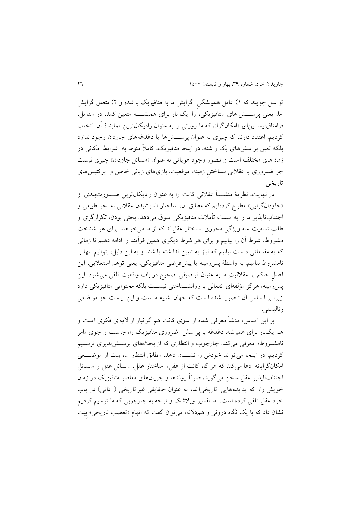تو سل جويند که 0( عامل همی شگیِ گرايش ما به متافیزيک با شد؛ و 4( متعلق گرايش ما، يعنی پرســــش های متافيزيکی، را يک بار برای همیشـــــه متعین کند. در مقا بل، فرامتافيزيســينای «امکانگرا»، که ما رورتی را به عنوان راديکالترين نمايندهٔ آن انتخاب کرديم، اعتقاد دارند که چيزی به عنوان پرســـش۱ها يا دغدغههای جاودان وجود ندارد بلکه تعین پر سش های يک ر شته، در اينجا متافیزيک، کامالً منوط به شرايط امکانی در زمانهای مختلف است و تصور وجود هوياتی به عنوان «مسائل جاودان» چیزی نیست جز ضـروری یا عقلانی سـاختن زمینه، موقعیت، بازیهای زبانی خاص و پرکتیسهای تاريخی.

در نهايت، نظريهٔ منشــــأ عقلانی کانت را به عنوان راديکالترين صــــورتبندی از »جاودانگرايی« مطرح کردهايم که مطابق آن، ساختار انديشیدن عقالنی به نحو طبیعی و اجتنابناپذير ما را به سمت تأمالت متافیزيکی سوق می دهد. بحثی بودن، تکرارگری و طلبِ تمامیت سه ويژگی محوری ساختار عقل اند که از ما میخواهند برای هر شناخت مشروط، شرط آن را بیابیم و برای هر شرط دیگری همین فرآیند را ادامه دهیم تا زمانی که به مقدماتی د ست بیابیم که نیاز به تبیین ندا شته با شند و به اين دلیل، بتوانیم آنها را نامشروط بنامیم. به واسطهٔ پس زمینه یا پیشفرضی متافیزیکی، یعنی توهم استعلایی، این اصلِ حاکم بر عقلانیتِ ما به عنوان توصیفی صحیح در باب واقعیت تلقی می شود. این پس زمينه، هرگز مؤلفهای انفعالی يا روانشــناختی نيســت بلکه محتوايی متافيزيکی دارد زيرا بر ا ساس آن ت صور شده ا ست که جهان شبیه ما ست و اين نی ست جز مو ضعی رئالیستی.

بر اين اساس، منشأ معرفی شده از سوی کانت هم گرانبار از اليه ای فکری است و هم يکبار برای همی شه، دغدغه يا پر سش ضروری متافیزيک را، ج ست و جوی »امر نامشـروط» معرفی میکند. چارچوب و انتظاری که از بحثهای پرسـشپذيری ترسـيم کرديم، در اينجا می تواند خودش را نشـــان دهد. مطابق انتظار ما، ببِت از موضـــعی امکانگرايانه ادعا می کند که هر گاه کانت از عقل، ساختار عقل، م سائل عقل و م سائل اجتنابناپذير عقل سخن میگويد، صرفاً روندها و جريانهای معاصر متافیزيک در زمان خويش را، که پديده هايی تاريخی اند، به عنوان حقايقی غير تاريخی (=ذاتی) در باب خود عقل تلقی کرده است. اما تفسیر ويالشک و توجه به چارچوبی که ما ترسیم کرديم نشان داد که با يک نگاه درونی و هم دلانه، میتوان گفت که اتهام «تعصب تاريخی» بِنِت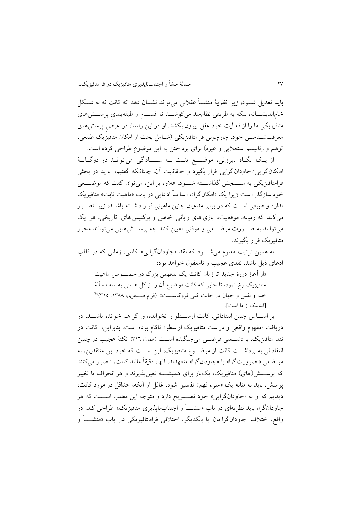بايد تعديل شهود، زيرا نظرية منشــأ عقلانی می تواند نشــان دهد که کانت نه به شــکل خام|ندیشـــانه، بلکه به طریقی نظامٖمند میکوشـــد تا اقســـام و طبقهبندی پرســـش۵ای متافیزيکی ما را از فعالیت خود عقل بیرون بکشد. او در اين راستا، در عرضِ پرسشهای معرفتشــناســي خود، چارچوبی فرامتافیزيکی (شــامل بحث از امکان متافیزيک طبیعی، توهم و رئاليسم استعلايي و غيره) برای پرداختن به اين موضوع طراحی کرده است.

از يك نگاه بيروني، موضع بنت به سـادگی می توانـد در دوگـانـهٔ ام کان گرايی/ جاودان گرايی قرار بگیرد و ح قان یت آن، چ نان که گفتیم، با يد در بحثی فرامتافیزيکی به ســـنجش گذاشـــته شـــود. علاوه بر اين، می توان گفت که موضـــعی خود سازگار ا ست زيرا يک «امکانگرا»، ا سا ساً ادعايی در باب «ماهيت ثابت» متافيزيک ندارد و طبیعی است که در برابر مدعیان چنین ماهیتی قرار داشته باشـد، زیرا تصـور میکند که زمینه، موقعیت، بازی های زبانی خاص و پرکتیس های تاریخی، هر یک میتوانند به صـورت موضــعی و موقتی تعیین کنند چه پرســش۱مايی میتوانند محور متافیزيک قرار بگیرند.

به همین ترتیب معلوم می شهود که نقد «جاودانگرايی» کانتی، زمانی که در قالب ادعای ذيل باشد، نقدی عجیب و نامعقول خواهد بود:

«از آغاز دورهٔ جديد تا زمان کانت يک بدفهمی بزرگ در خصـــوص ماهيت متافیزيک رخ نمود، تا جايی که کانت موضوع آن را از کل هستی به سه مسأل ة خدا و نفس و جهان در حالت کلی فروکاســـت» (قوام صـــفری، ۱۳۸۸: ۳۱۵<sup>%</sup> ]ايتالیک از ما است[.

بر اســاس چنین انتقاداتی، کانت ارســـطو را نخوانده، و اگر هم خوانده باشـــد، در دريافت »مفهوم واقعی و در ست متافیزيک ار سطو « ناکام بوده ا ست. بنابراين، کانت در نقد متافیزیک، با دشــمنی فرضــی میجنگیده اســت (همان، ٣١٦). نکتهٔ عجیب در چنین انتقاداتی به برداشــت کانت از موضــوع متافيزيک، اين اســت که خود اين منتقدين، به مو ضعی » ضرورت گرا« يا »جاودانگرا« متعهدند. آنها، دقیقاً مانند کانت، ت صور می کنند که پرســــش(های) متافیزیک، يکبار برای همیشــــه تعین پذیرند و هر انحراف يا تغییرِ پر سش، بايد به مثابه يک «سوء فهم» تفسير شود. غافل از آنکه، حداقل در مورد کانت، ديديم که او به «جاودانگرايي» خود تصـــريح دارد و متوجه اين مطلب اســـت که هر جاودان گرا، بايد نظريهاي در باب «منشــــأ و اجتنابناپذيري متافيزيک» طراحی کند. در واقع، اختلاف جاودانگرا يان با يكديگر، اختلافی فرامتافيزيكی در باب «منشــــأ و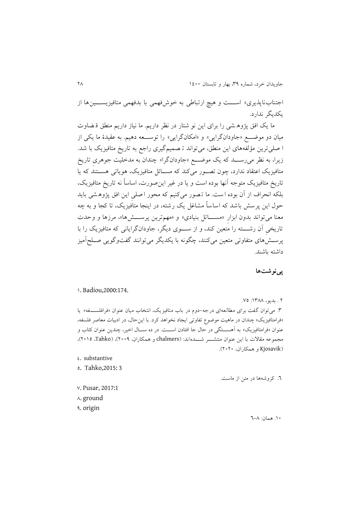اجتناب ناپذيری» اســـت و هیچ ارتباطی به خوش فهمی با بدفهمی متافیزیســـین ها از يکديگر ندارد.

ما يک افق پژوه شی را برای اين نو شتار در نظر دار يم. ما نیاز داريم منطق ق ضاوت میان دو موضـــع «جاودانگرايي» و «امکانگرايي» را توســـعه دهیم. به عقیدهٔ ما يکي از ا صلی ترين مؤلفههای اين منطق، میتواند ت صمیم گیری راجع به تاريخ متافیزيک با شد . زيرا، به نظر می رســـد که يک موضــــع «جاودانگرا» چندان به مدخليت جوهری تاريخ متافیزیک اعتقاد ندارد، چون تصـور میکند که مســائل متافیزیک، هویاتی هســتند که یا تاريخ متافیزيک متوجه آنها بوده است و يا در غیر اينصورت، اساساً نه تاريخ متافیزيک، بلکه انحراف از آن بوده است. ما تصور می کنیم که محور اصلی این افق پژوهشی باید حول اين پرسش باشد که اساساً مشاغل يک رشته، در اينجا متافیزيک، تا کجا و به چه معنا می تواند بدون ابزارِ «مســـائل بنیادی» و «مهمترین پرســـش۱»، مرزها و وحدت تاريخی آن رشــــته را متعین کند، و از ســــوی ديگر، جاودانگرايانی که متافیزيک را با پرسهشهای متفاوتی متعین میکنند، چگونه با يکديگر میتوانند گفتوگويی صهلحآمیز داشته باشند.

## **پینوشتها**

#### 0. Badiou,2000:174.

٢ . بديو، ١٣٨٨: ٧٥. ۳. میتوان گفت برای مطالعه ای درجه-دوم در باب متافیزیک، انتخاب میان عنوان «فرافلسـفه» یا »فرامتافیزيک« چندان در ماهیت موضوع تفاوتی ايجاد نخواهد کرد. با اينحال، در ادبیات معاصر فلسفه، عنوان «فرامتافيزيک» به آهســـتگی در حال جا افتادن اســـت. در ده ســـال اخير، چندين عنوان کتاب و مجموعه مقالات با اين عنوان منتشه شههاماند: (chalmers و همکاران، ۲۰۰۹)، (Tahko، ۲۰۱۵)، )Kjosavik و همکاران، 4141(.

0. substantive

5. Tahko,2015: 3

.6 کروشهها در متن از ماست.

- 7. Pusar, 2017:1
- $\lambda$ . ground
- 3. origin

.01 همان: 6-8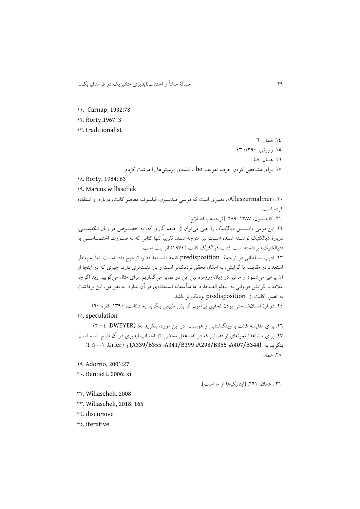11. Carnap, 1932:78

04. Rorty,1967: 3

09. traditionalist

١٤. همان: ٦ .05 رورتی، :0931 09

١٦. همان: ٤٨

.07 برای مشخص کردن حرف تعريف the، کلمهی پرسشها را درشت کردم.

1A. Rorty, 1984: 63

03. Marcus willaschek

.41 »Alleszermalmer»، تعبیری است که موسی مندلسون، فیلسوف معاصر کانت، درباره او استفاده کرده است.

.40 کاپلستون، :0987 .483 ]ترجمه با اصالح[.

.44 اين فرعی دانسههتن ديالکتیک را حتی میتوان از حجم آثاری که، به خصههوص در زبان انگلیسههی، دربارهٔ دیالکتیک نوشــته شــده اســت نیز متوجه شــد. تقریباً تنها کتابی که به صــورت اختصــاصــی به »ديالکتیک« پرداخته است کتاب ديالکتیک کانت )0370( اثر بِنِت است.

.49 اديب سهلطانی در ترجمة predisposition کلمة »اسهتعداد« را ترجیح داده اسهت. اما به بهنظر استعداد در مقايسه با گرايش، به امکان تحقق نزديکتر است و بار مثبتتری دارد، چيزی که در اينجا از آن پرهیز میشهود و ما نیز در زبان روزمره بین اين دو تمايز میگذاريم. برای مثال میگويیم زيد اگرچه عالقه يا گرايش فراوانی به انجام الف دارد اما متأسفانه استعدادی در آن ندارد. به نظر من، اين برداشت به تصور کانت از predisposition نزديک تر باشد.

.40 دربارة انسانشناختی بودنِ تحقیق پیرامون گرايش طبیعی بنگريد به: )کانت، :0931 فقره 61( 45. speculation

.46 برای مقايسه کانت با ويتگنشتاين و هوسرل در اين مورد، بنگريد به: (DWEYER، 4110) ٢٧. برای مشاهدهٔ نمونهای از فقراتی که در نقد عقل محض تز اجتنابناپذیری در آن طرح شده است )0 :4110 ،Grier( و) A339/B355 ؛A341/B399 ؛A298/B355 ؛A407/B344) :به بنگريد .48 همان

43..Adorno, 2001:27

91. Bennett، 2006: xi

٣١ . همان، ٢٦١. [ايتاليکها از ما است].

94. Willaschek, 2008

99. Willaschek, 2018: 165

90. discursive

95. iterative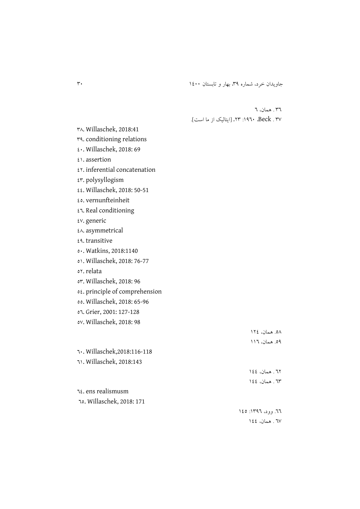جاويدان خرد، شماره ٣٩، بهار و تابستان ١٤٠٠ ا

96 . همان، 6 97 . Beck، :0361 .49[ ايتالیک از ما است[.

. Willaschek, 2018:41 . conditioning relations . Willaschek, 2018: 69 . assertion  $65.$  inferential concatenation εν. polysyllogism . Willaschek, 2018: 50-51 . vernunfteinheit . Real conditioning . generic . asymmetrical . transitive . Watkins, 2018:1140 . Willaschek, 2018: 76-77 or. relata . Willaschek, 2018: 96 . principle of comprehension . Willaschek, 2018: 65-96 . Grier, 2001: 127-128 . Willaschek, 2018: 98 .58 همان، 040 .53 همان، 006 . Willaschek,2018:116-118 . Willaschek, 2018:143 ٦٢. همان، ١٤٤ ٦٣ . همان، ١٤٤ . ens realismusm . Willaschek, 2018: 171 ٦٦. وود، ١٣٩٦: ١٤٥ ٦٧ . همان، ١٤٤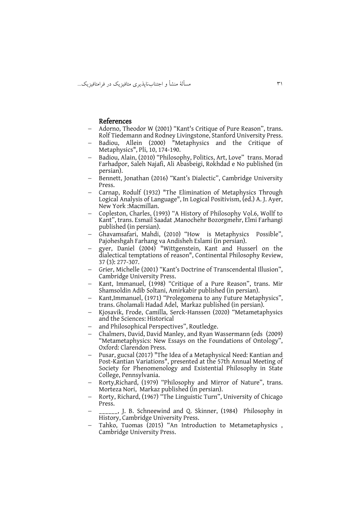### References

- Adorno, Theodor W (2001) "Kant's Critique of Pure Reason", trans. Rolf Tiedemann and Rodney Livingstone, Stanford University Press.
- Badiou, Allein (2000) "Metaphysics and the Critique of Metaphysics", Pli, 10, 174-190.
- Badiou, Alain, (2010) "Philosophy, Politics, Art, Love" trans. Morad Farhadpor, Saleh Najafi, Ali Abasbeigi, Rokhdad e No published (in persian).
- Bennett, Jonathan (2016) "Kant's Dialectic", Cambridge University Press.
- Carnap, Rodulf (1932) "The Elimination of Metaphysics Through Logical Analysis of Language", In Logical Positivism, (ed.) A. J. Ayer, New York :Macmillan.
- Copleston, Charles, (1993) "A History of Philosophy Vol.6, Wollf to Kant", trans. Esmail Saadat ,Manochehr Bozorgmehr, Elmi Farhangi published (in persian).
- Ghavamsafari, Mahdi, (2010) "How is Metaphysics Possible", Pajoheshgah Farhang va Andisheh Eslami (in persian).
- gyer, Daniel (2004) "Wittgenstein, Kant and Husserl on the dialectical temptations of reason", Continental Philosophy Review, 37 (3): 277-307.
- Grier, Michelle (2001) "Kant's Doctrine of Transcendental Illusion", Cambridge University Press.
- Kant, Immanuel, (1998) "Critique of a Pure Reason", trans. Mir Shamsoldin Adib Soltani, Amirkabir published (in persian).
- Kant,Immanuel, (1971) "Prolegomena to any Future Metaphysics", trans. Gholamali Hadad Adel, Markaz published (in persian).
- Kjosavik, Frode, Camilla, Serck-Hanssen (2020) "Metametaphysics and the Sciences: Historical
- and Philosophical Perspectives", Routledge.
- Chalmers, David, David Manley, and Ryan Wassermann (eds (2009) "Metametaphysics: New Essays on the Foundations of Ontology", Oxford: Clarendon Press.
- Pusar, gucsal (2017) "The Idea of a Metaphysical Need: Kantian and Post-Kantian Variations", presented at the 57th Annual Meeting of Society for Phenomenology and Existential Philosophy in State College, Pennsylvania.
- Rorty,Richard, (1979) "Philosophy and Mirror of Nature", trans. Morteza Nori, Markaz published (in persian).
- Rorty, Richard, (1967) "The Linguistic Turn", University of Chicago Press.
- \_\_\_\_\_\_, J. B. Schneewind and Q. Skinner, (1984) Philosophy in History, Cambridge University Press.
- Tahko, Tuomas (2015) "An Introduction to Metametaphysics , Cambridge University Press.